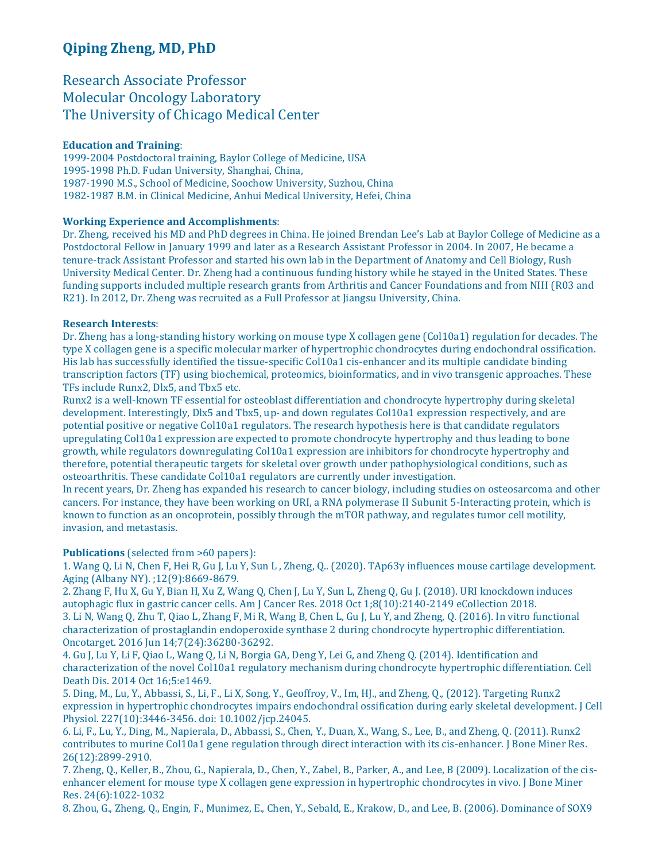# **Qiping Zheng, MD, PhD**

## Research Associate Professor Molecular Oncology Laboratory The University of Chicago Medical Center

### **Education and Training**:

1999-2004 Postdoctoral training, Baylor College of Medicine, USA 1995-1998 Ph.D. Fudan University, Shanghai, China, 1987-1990 M.S., School of Medicine, Soochow University, Suzhou, China 1982-1987 B.M. in Clinical Medicine, Anhui Medical University, Hefei, China

### **Working Experience and Accomplishments**:

Dr. Zheng, received his MD and PhD degrees in China. He joined Brendan Lee's Lab at Baylor College of Medicine as a Postdoctoral Fellow in January 1999 and later as a Research Assistant Professor in 2004. In 2007, He became a tenure-track Assistant Professor and started his own lab in the Department of Anatomy and Cell Biology, Rush University Medical Center. Dr. Zheng had a continuous funding history while he stayed in the United States. These funding supports included multiple research grants from Arthritis and Cancer Foundations and from NIH (R03 and R21). In 2012, Dr. Zheng was recruited as a Full Professor at Jiangsu University, China.

#### **Research Interests**:

Dr. Zheng has a long-standing history working on mouse type X collagen gene (Col10a1) regulation for decades. The type X collagen gene is a specific molecular marker of hypertrophic chondrocytes during endochondral ossification. His lab has successfully identified the tissue-specific Col10a1 cis-enhancer and its multiple candidate binding transcription factors (TF) using biochemical, proteomics, bioinformatics, and in vivo transgenic approaches. These TFs include Runx2, Dlx5, and Tbx5 etc.

Runx2 is a well-known TF essential for osteoblast differentiation and chondrocyte hypertrophy during skeletal development. Interestingly, Dlx5 and Tbx5, up- and down regulates Col10a1 expression respectively, and are potential positive or negative Col10a1 regulators. The research hypothesis here is that candidate regulators upregulating Col10a1 expression are expected to promote chondrocyte hypertrophy and thus leading to bone growth, while regulators downregulating Col10a1 expression are inhibitors for chondrocyte hypertrophy and therefore, potential therapeutic targets for skeletal over growth under pathophysiological conditions, such as osteoarthritis. These candidate Col10a1 regulators are currently under investigation.

In recent years, Dr. Zheng has expanded his research to cancer biology, including studies on osteosarcoma and other cancers. For instance, they have been working on URI, a RNA polymerase II Subunit 5-Interacting protein, which is known to function as an oncoprotein, possibly through the mTOR pathway, and regulates tumor cell motility, invasion, and metastasis.

**Publications** (selected from >60 papers):

1. Wang Q, Li N, Chen F, Hei R, Gu J, Lu Y, Sun L , Zheng, Q.. (2020). TAp63γ influences mouse cartilage development. Aging (Albany NY). ;12(9):8669-8679.

2. Zhang F, Hu X, Gu Y, Bian H, Xu Z, Wang Q, Chen J, Lu Y, Sun L, Zheng Q, Gu J. (2018). URI knockdown induces autophagic flux in gastric cancer cells. Am J Cancer Res. 2018 Oct 1;8(10):2140-2149 eCollection 2018. 3. Li N, Wang Q, Zhu T, Qiao L, Zhang F, Mi R, Wang B, Chen L, Gu J, Lu Y, and Zheng, Q. (2016). In vitro functional characterization of prostaglandin endoperoxide synthase 2 during chondrocyte hypertrophic differentiation. Oncotarget. 2016 Jun 14;7(24):36280-36292.

4. Gu J, Lu Y, Li F, Qiao L, Wang Q, Li N, Borgia GA, Deng Y, Lei G, and Zheng Q. (2014). Identification and characterization of the novel Col10a1 regulatory mechanism during chondrocyte hypertrophic differentiation. Cell Death Dis. 2014 Oct 16;5:e1469.

5. Ding, M., Lu, Y., Abbassi, S., Li, F., Li X, Song, Y., Geoffroy, V., Im, HJ., and Zheng, Q., (2012). Targeting Runx2 expression in hypertrophic chondrocytes impairs endochondral ossification during early skeletal development. J Cell Physiol. 227(10):3446-3456. doi: 10.1002/jcp.24045.

6. Li, F., Lu, Y., Ding, M., Napierala, D., Abbassi, S., Chen, Y., Duan, X., Wang, S., Lee, B., and Zheng, Q. (2011). Runx2 contributes to murine Col10a1 gene regulation through direct interaction with its cis-enhancer. J Bone Miner Res. 26(12):2899-2910.

7. Zheng, Q., Keller, B., Zhou, G., Napierala, D., Chen, Y., Zabel, B., Parker, A., and Lee, B (2009). Localization of the cisenhancer element for mouse type X collagen gene expression in hypertrophic chondrocytes in vivo. J Bone Miner Res. 24(6):1022-1032

8. Zhou, G., Zheng, Q., Engin, F., Munimez, E., Chen, Y., Sebald, E., Krakow, D., and Lee, B. (2006). Dominance of SOX9